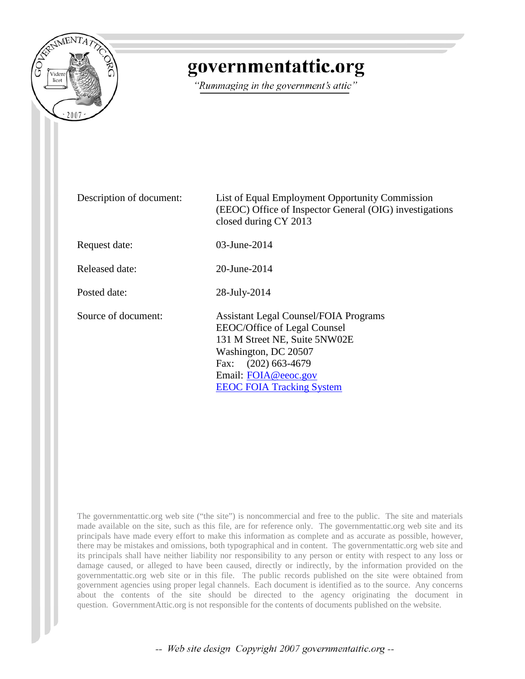

## governmentattic.org

"Rummaging in the government's attic"

| Description of document: | List of Equal Employment Opportunity Commission<br>(EEOC) Office of Inspector General (OIG) investigations<br>closed during CY 2013                                                                                      |
|--------------------------|--------------------------------------------------------------------------------------------------------------------------------------------------------------------------------------------------------------------------|
| Request date:            | 03-June-2014                                                                                                                                                                                                             |
| Released date:           | 20-June-2014                                                                                                                                                                                                             |
| Posted date:             | 28-July-2014                                                                                                                                                                                                             |
| Source of document:      | <b>Assistant Legal Counsel/FOIA Programs</b><br>EEOC/Office of Legal Counsel<br>131 M Street NE, Suite 5NW02E<br>Washington, DC 20507<br>Fax: (202) 663-4679<br>Email: FOIA@eeoc.gov<br><b>EEOC FOIA Tracking System</b> |

The governmentattic.org web site ("the site") is noncommercial and free to the public. The site and materials made available on the site, such as this file, are for reference only. The governmentattic.org web site and its principals have made every effort to make this information as complete and as accurate as possible, however, there may be mistakes and omissions, both typographical and in content. The governmentattic.org web site and its principals shall have neither liability nor responsibility to any person or entity with respect to any loss or damage caused, or alleged to have been caused, directly or indirectly, by the information provided on the governmentattic.org web site or in this file. The public records published on the site were obtained from government agencies using proper legal channels. Each document is identified as to the source. Any concerns about the contents of the site should be directed to the agency originating the document in question. GovernmentAttic.org is not responsible for the contents of documents published on the website.

-- Web site design Copyright 2007 governmentattic.org --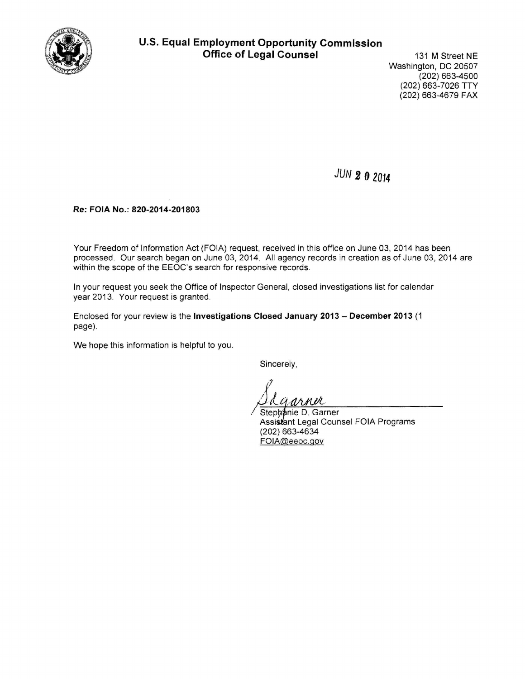

## **U.S. Equal Employment Opportunity Commission Office of Legal Counsel** 131 M Street NE

Washington, DC 20507 (202) 663-4500 (202) 663-7026 TTY (202) 663-4679 FAX

*JUN 2* **0 <sup>2014</sup>**

**Re: FOIA No.: 820-2014-201803** 

Your Freedom of Information Act (FOIA) request, received in this office on June 03, 2014 has been processed. Our search began on June 03, 2014. All agency records in creation as of June 03, 2014 are within the scope of the EEOC's search for responsive records.

In your request you seek the Office of Inspector General, closed investigations list for calendar year 2013. Your request is granted.

Enclosed for your review is the **Investigations Closed January 2013 - December 2013** (1 page).

.

We hope this information is helpful to you.

Sincerely,

 $\mu$ 

Stephânie D. Garner  $q$ arner Assistant Legal Counsel FOIA Programs (202) 663-4634 FOIA@eeoc.gov